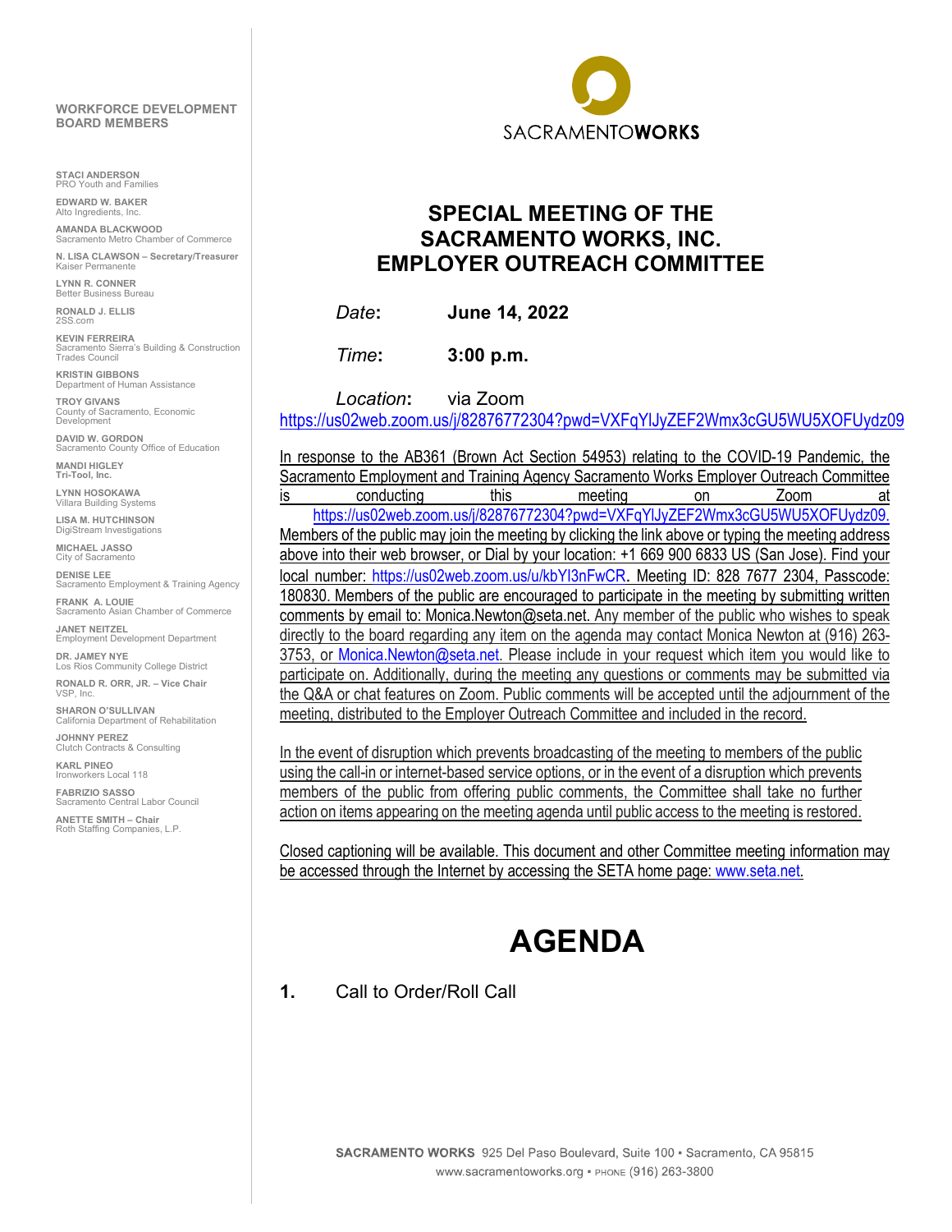#### **WORKFORCE DEVELOPMENT BOARD MEMBERS**

**STACI ANDERSON** Youth and Families

**EDWARD W. BAKER** Alto Ingredients, In

**AMANDA BLACKWOOD** Sacramento Metro Chamber of Commerce

**N. LISA CLAWSON – Secretary/Treasurer** 'ermanente

**LYNN R. CONNER**  Better Business Bureau

**RONALD J. ELLIS** 2SS.com

**KEVIN FERREIRA**<br>Sacramento Sierra's Building & Construction<br>Trades Council

**KRISTIN GIBBONS** Department of Human Assistance

**TROY GIVANS** County of Sacramento, Economic Development

**DAVID W. GORDON** Sacramento County Office of Education **MANDI HIGLEY**

**Tri-Tool, Inc.**

**LYNN HOSOKAWA** Villara Building Systems

**LISA M. HUTCHINSON** DigiStream Investigations

**MICHAEL JASSO** City of Sacramento

**DENISE LEE** Sacramento Employment & Training Agency

**FRANK A. LOUIE** acramento Asian Chamber of Commerce **JANET NEITZEL** Employment Development Department

**DR. JAMEY NYE** Los Rios Community College District

**RONALD R. ORR, JR. – Vice Chair** VSP, Inc.

**SHARON O'SULLIVAN** California Department of Rehabilitation

**JOHNNY PEREZ**  Clutch Contracts & Consulting

**KARL PINEO**  Ironworkers Local 118

**FABRIZIO SASSO** Sacramento Central Labor Council

**ANETTE SMITH – Chair** Roth Staffing Companies, L.P.



## **SPECIAL MEETING OF THE SACRAMENTO WORKS, INC. EMPLOYER OUTREACH COMMITTEE**

*Date***: June 14, 2022**

*Time***: 3:00 p.m.**

*Location***:** via Zoom

<https://us02web.zoom.us/j/82876772304?pwd=VXFqYlJyZEF2Wmx3cGU5WU5XOFUydz09>

In response to the AB361 (Brown Act Section 54953) relating to the COVID-19 Pandemic, the Sacramento Employment and Training Agency Sacramento Works Employer Outreach Committee is conducting this meeting on Zoom at [https://us02web.zoom.us/j/82876772304?pwd=VXFqYlJyZEF2Wmx3cGU5WU5XOFUydz09.](https://us02web.zoom.us/j/82876772304?pwd=VXFqYlJyZEF2Wmx3cGU5WU5XOFUydz09) Members of the public may join the meeting by clicking the link above or typing the meeting address above into their web browser, or Dial by your location: +1 669 900 6833 US (San Jose). Find your local number:<https://us02web.zoom.us/u/kbYI3nFwCR>. Meeting ID: 828 7677 2304, Passcode: 180830. Members of the public are encouraged to participate in the meeting by submitting written comments by email to: Monica.Newton@seta.net. Any member of the public who wishes to speak directly to the board regarding any item on the agenda may contact Monica Newton at (916) 263- 3753, or [Monica.Newton@seta.net.](mailto:Nancy.Hogan@seta.net) Please include in your request which item you would like to participate on. Additionally, during the meeting any questions or comments may be submitted via the Q&A or chat features on Zoom. Public comments will be accepted until the adjournment of the meeting, distributed to the Employer Outreach Committee and included in the record.

In the event of disruption which prevents broadcasting of the meeting to members of the public using the call-in or internet-based service options, or in the event of a disruption which prevents members of the public from offering public comments, the Committee shall take no further action on items appearing on the meeting agenda until public access to the meeting is restored.

Closed captioning will be available. This document and other Committee meeting information may be accessed through the Internet by accessing the SETA home page: [www.seta.net.](http://www.seta.net/)

# **AGENDA**

#### **1.** Call to Order/Roll Call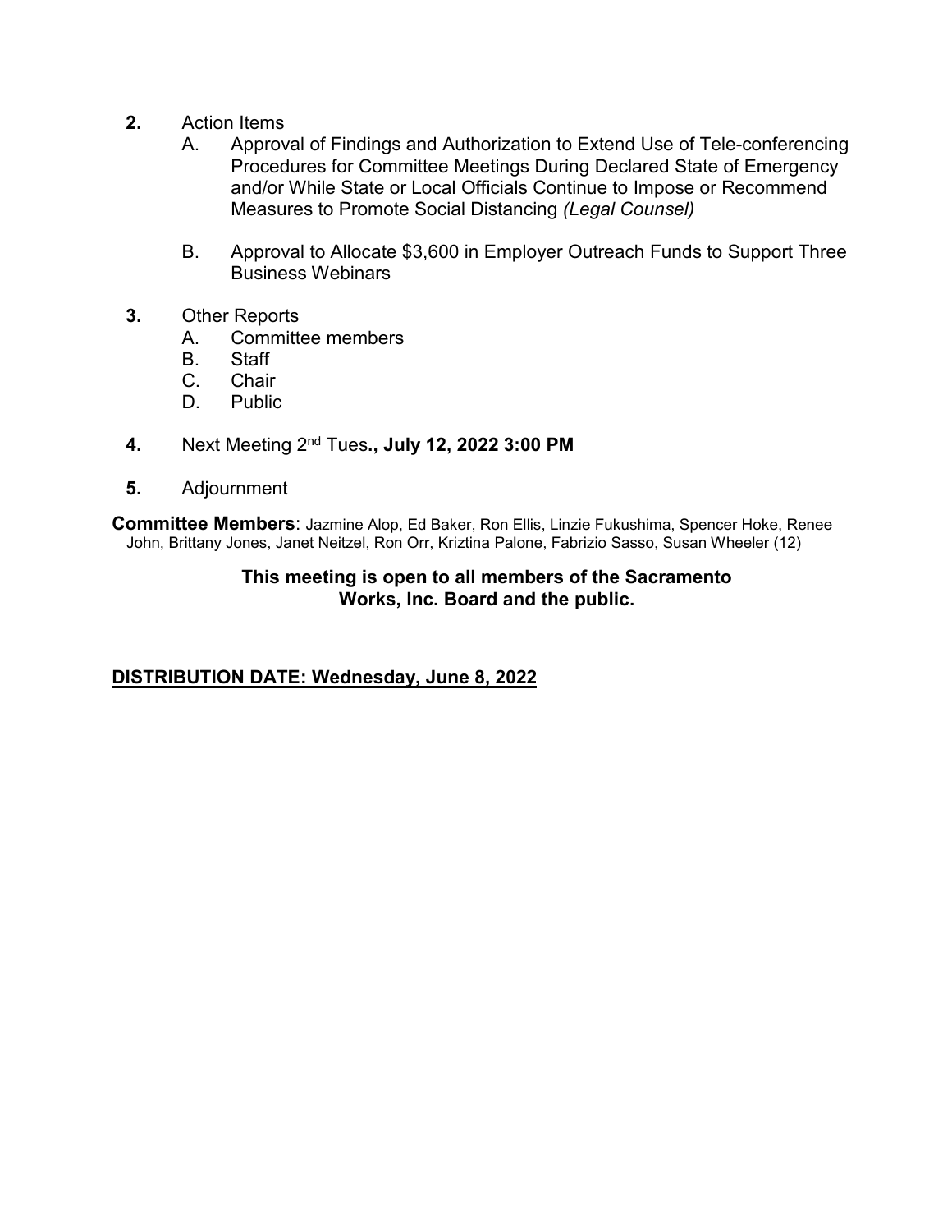- **2.** Action Items
	- A. Approval of Findings and Authorization to Extend Use of Tele-conferencing Procedures for Committee Meetings During Declared State of Emergency and/or While State or Local Officials Continue to Impose or Recommend Measures to Promote Social Distancing *(Legal Counsel)*
	- B. Approval to Allocate \$3,600 in Employer Outreach Funds to Support Three Business Webinars
- **3.** Other Reports
	- A. Committee members
	- B. Staff
	- C. Chair
	- D. Public
- **4.** Next Meeting 2nd Tues**., July 12, 2022 3:00 PM**
- **5.** Adjournment

**Committee Members**: Jazmine Alop, Ed Baker, Ron Ellis, Linzie Fukushima, Spencer Hoke, Renee John, Brittany Jones, Janet Neitzel, Ron Orr, Kriztina Palone, Fabrizio Sasso, Susan Wheeler (12)

#### **This meeting is open to all members of the Sacramento Works, Inc. Board and the public.**

#### **DISTRIBUTION DATE: Wednesday, June 8, 2022**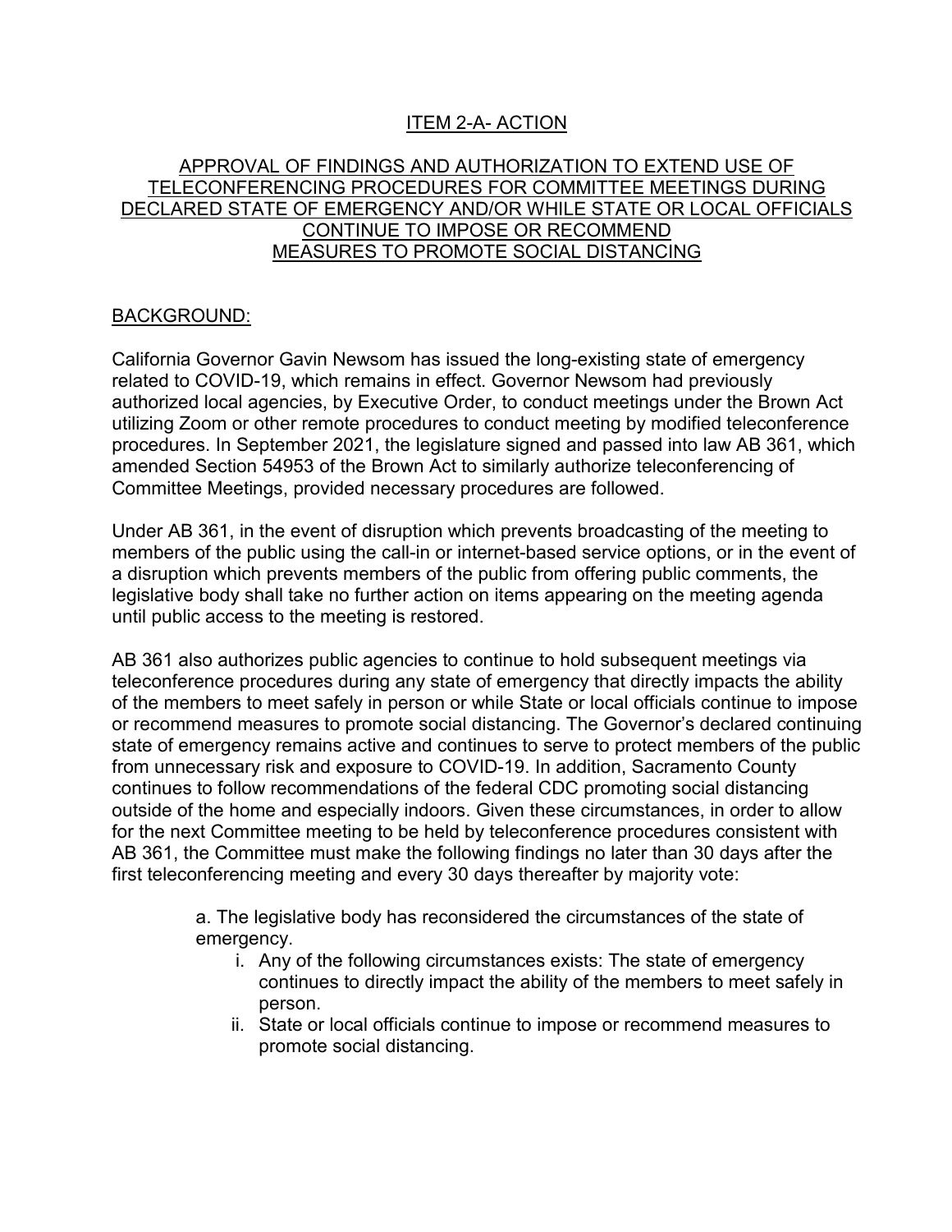### ITEM 2-A- ACTION

#### APPROVAL OF FINDINGS AND AUTHORIZATION TO EXTEND USE OF TELECONFERENCING PROCEDURES FOR COMMITTEE MEETINGS DURING DECLARED STATE OF EMERGENCY AND/OR WHILE STATE OR LOCAL OFFICIALS CONTINUE TO IMPOSE OR RECOMMEND MEASURES TO PROMOTE SOCIAL DISTANCING

#### BACKGROUND:

California Governor Gavin Newsom has issued the long-existing state of emergency related to COVID-19, which remains in effect. Governor Newsom had previously authorized local agencies, by Executive Order, to conduct meetings under the Brown Act utilizing Zoom or other remote procedures to conduct meeting by modified teleconference procedures. In September 2021, the legislature signed and passed into law AB 361, which amended Section 54953 of the Brown Act to similarly authorize teleconferencing of Committee Meetings, provided necessary procedures are followed.

Under AB 361, in the event of disruption which prevents broadcasting of the meeting to members of the public using the call-in or internet-based service options, or in the event of a disruption which prevents members of the public from offering public comments, the legislative body shall take no further action on items appearing on the meeting agenda until public access to the meeting is restored.

AB 361 also authorizes public agencies to continue to hold subsequent meetings via teleconference procedures during any state of emergency that directly impacts the ability of the members to meet safely in person or while State or local officials continue to impose or recommend measures to promote social distancing. The Governor's declared continuing state of emergency remains active and continues to serve to protect members of the public from unnecessary risk and exposure to COVID-19. In addition, Sacramento County continues to follow recommendations of the federal CDC promoting social distancing outside of the home and especially indoors. Given these circumstances, in order to allow for the next Committee meeting to be held by teleconference procedures consistent with AB 361, the Committee must make the following findings no later than 30 days after the first teleconferencing meeting and every 30 days thereafter by majority vote:

> a. The legislative body has reconsidered the circumstances of the state of emergency.

- i. Any of the following circumstances exists: The state of emergency continues to directly impact the ability of the members to meet safely in person.
- ii. State or local officials continue to impose or recommend measures to promote social distancing.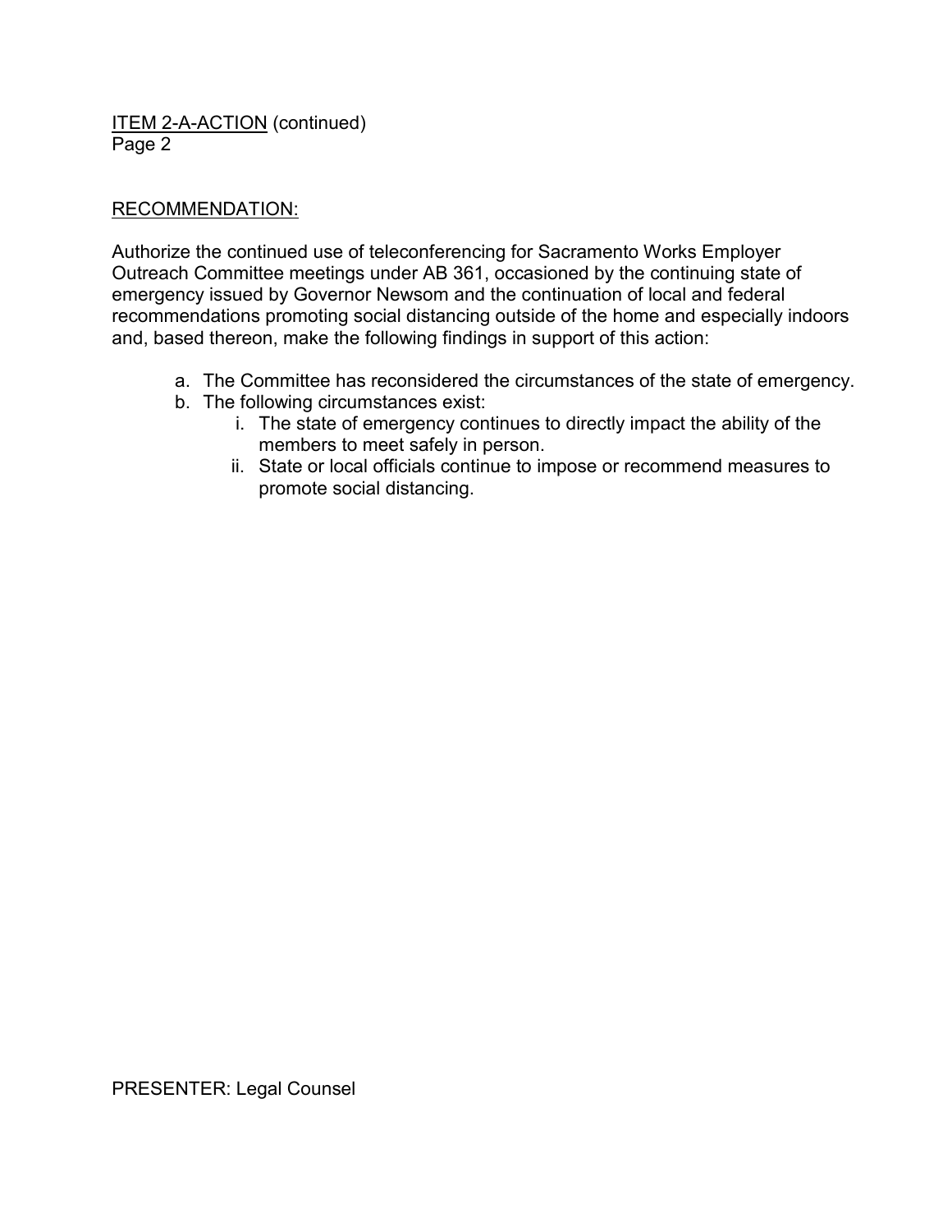ITEM 2-A-ACTION (continued) Page 2

#### RECOMMENDATION:

Authorize the continued use of teleconferencing for Sacramento Works Employer Outreach Committee meetings under AB 361, occasioned by the continuing state of emergency issued by Governor Newsom and the continuation of local and federal recommendations promoting social distancing outside of the home and especially indoors and, based thereon, make the following findings in support of this action:

- a. The Committee has reconsidered the circumstances of the state of emergency.
- b. The following circumstances exist:
	- i. The state of emergency continues to directly impact the ability of the members to meet safely in person.
	- ii. State or local officials continue to impose or recommend measures to promote social distancing.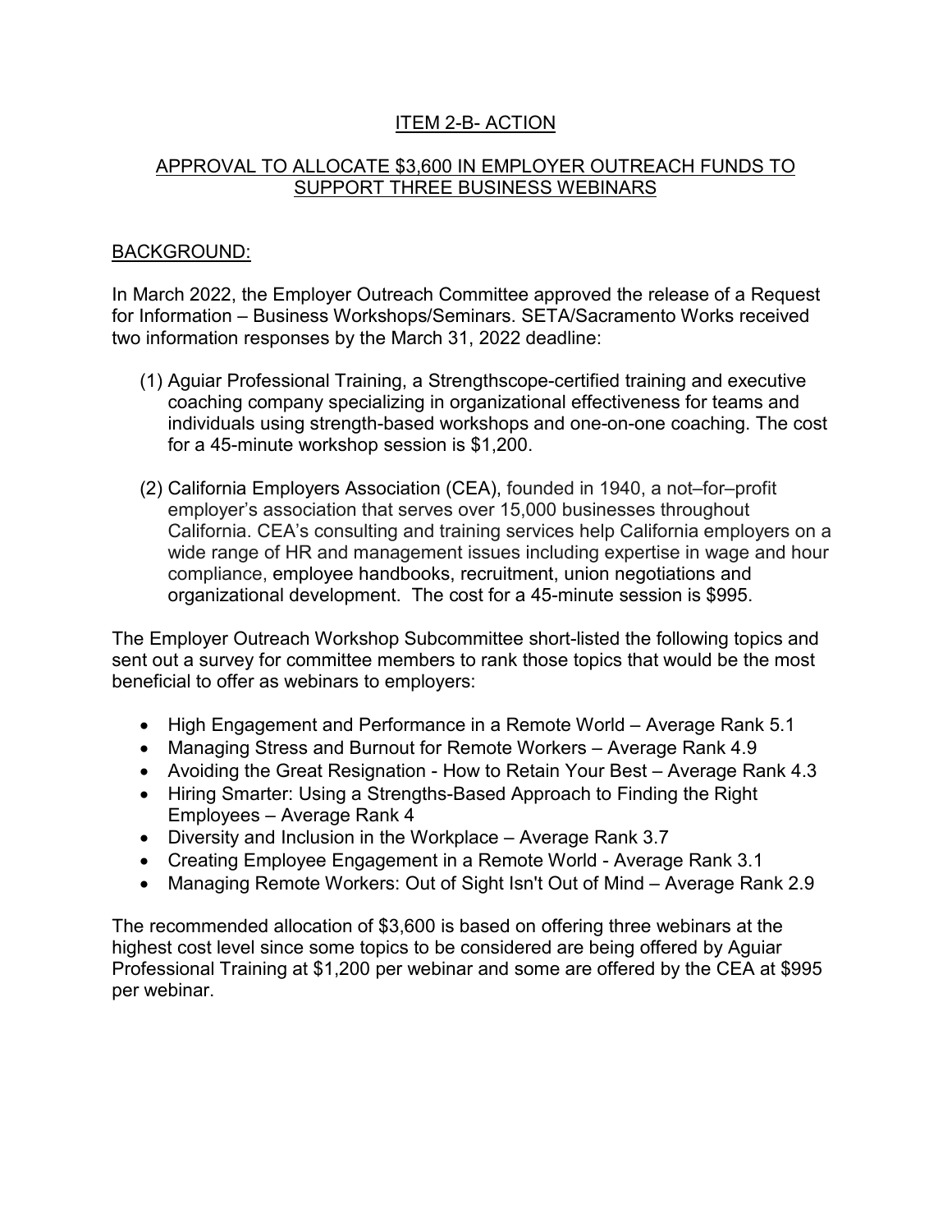#### ITEM 2-B- ACTION

#### APPROVAL TO ALLOCATE \$3,600 IN EMPLOYER OUTREACH FUNDS TO SUPPORT THREE BUSINESS WEBINARS

#### BACKGROUND:

In March 2022, the Employer Outreach Committee approved the release of a Request for Information – Business Workshops/Seminars. SETA/Sacramento Works received two information responses by the March 31, 2022 deadline:

- (1) Aguiar Professional Training, a Strengthscope-certified training and executive coaching company specializing in organizational effectiveness for teams and individuals using strength-based workshops and one-on-one coaching. The cost for a 45-minute workshop session is \$1,200.
- (2) California Employers Association (CEA), founded in 1940, a not–for–profit employer's association that serves over 15,000 businesses throughout California. CEA's consulting and training services help California employers on a wide range of HR and management issues including expertise in wage and hour compliance, [employee handbooks,](http://asoft30125.accrisoft.com/employers/index.php?submenu=employee_handbook&src=gendocs&ref=EmployeeHandbook&category=services) [recruitment,](http://asoft30125.accrisoft.com/employers/index.php?submenu=recruiting&src=gendocs&ref=Recruiting&category=services) [union negotiations](http://asoft30125.accrisoft.com/employers/index.php?submenu=representation&src=gendocs&ref=Representation&category=services) and organizational development. The cost for a 45-minute session is \$995.

The Employer Outreach Workshop Subcommittee short-listed the following topics and sent out a survey for committee members to rank those topics that would be the most beneficial to offer as webinars to employers:

- High Engagement and Performance in a Remote World Average Rank 5.1
- Managing Stress and Burnout for Remote Workers Average Rank 4.9
- Avoiding the Great Resignation How to Retain Your Best Average Rank 4.3
- Hiring Smarter: Using a Strengths-Based Approach to Finding the Right Employees – Average Rank 4
- Diversity and Inclusion in the Workplace Average Rank 3.7
- Creating Employee Engagement in a Remote World Average Rank 3.1
- Managing Remote Workers: Out of Sight Isn't Out of Mind Average Rank 2.9

The recommended allocation of \$3,600 is based on offering three webinars at the highest cost level since some topics to be considered are being offered by Aguiar Professional Training at \$1,200 per webinar and some are offered by the CEA at \$995 per webinar.